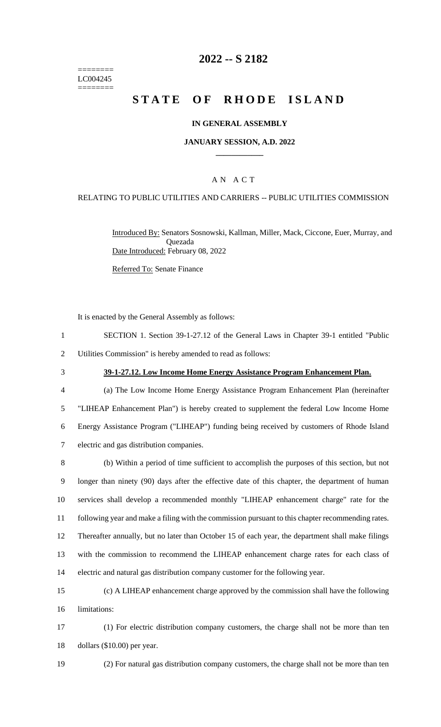======== LC004245 ========

# **2022 -- S 2182**

# **STATE OF RHODE ISLAND**

#### **IN GENERAL ASSEMBLY**

#### **JANUARY SESSION, A.D. 2022 \_\_\_\_\_\_\_\_\_\_\_\_**

## A N A C T

#### RELATING TO PUBLIC UTILITIES AND CARRIERS -- PUBLIC UTILITIES COMMISSION

Introduced By: Senators Sosnowski, Kallman, Miller, Mack, Ciccone, Euer, Murray, and Quezada Date Introduced: February 08, 2022

Referred To: Senate Finance

It is enacted by the General Assembly as follows:

| SECTION 1. Section 39-1-27.12 of the General Laws in Chapter 39-1 entitled "Public" |  |
|-------------------------------------------------------------------------------------|--|
| Utilities Commission" is hereby amended to read as follows:                         |  |

### 3 **39-1-27.12. Low Income Home Energy Assistance Program Enhancement Plan.**

 (a) The Low Income Home Energy Assistance Program Enhancement Plan (hereinafter "LIHEAP Enhancement Plan") is hereby created to supplement the federal Low Income Home Energy Assistance Program ("LIHEAP") funding being received by customers of Rhode Island electric and gas distribution companies.

 (b) Within a period of time sufficient to accomplish the purposes of this section, but not longer than ninety (90) days after the effective date of this chapter, the department of human services shall develop a recommended monthly "LIHEAP enhancement charge" rate for the following year and make a filing with the commission pursuant to this chapter recommending rates. Thereafter annually, but no later than October 15 of each year, the department shall make filings with the commission to recommend the LIHEAP enhancement charge rates for each class of electric and natural gas distribution company customer for the following year.

15 (c) A LIHEAP enhancement charge approved by the commission shall have the following 16 limitations:

17 (1) For electric distribution company customers, the charge shall not be more than ten 18 dollars (\$10.00) per year.

19 (2) For natural gas distribution company customers, the charge shall not be more than ten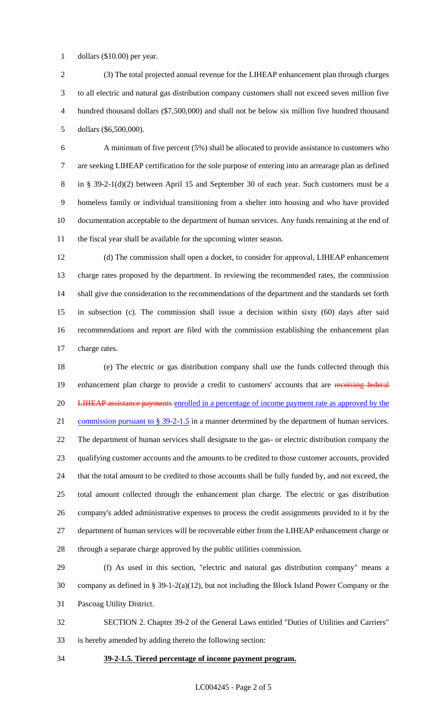dollars (\$10.00) per year.

 (3) The total projected annual revenue for the LIHEAP enhancement plan through charges to all electric and natural gas distribution company customers shall not exceed seven million five hundred thousand dollars (\$7,500,000) and shall not be below six million five hundred thousand dollars (\$6,500,000).

 A minimum of five percent (5%) shall be allocated to provide assistance to customers who are seeking LIHEAP certification for the sole purpose of entering into an arrearage plan as defined in § 39-2-1(d)(2) between April 15 and September 30 of each year. Such customers must be a homeless family or individual transitioning from a shelter into housing and who have provided documentation acceptable to the department of human services. Any funds remaining at the end of the fiscal year shall be available for the upcoming winter season.

 (d) The commission shall open a docket, to consider for approval, LIHEAP enhancement charge rates proposed by the department. In reviewing the recommended rates, the commission shall give due consideration to the recommendations of the department and the standards set forth in subsection (c). The commission shall issue a decision within sixty (60) days after said recommendations and report are filed with the commission establishing the enhancement plan charge rates.

 (e) The electric or gas distribution company shall use the funds collected through this 19 enhancement plan charge to provide a credit to customers' accounts that are receiving federal 20 LIHEAP assistance payments enrolled in a percentage of income payment rate as approved by the 21 commission pursuant to § 39-2-1.5 in a manner determined by the department of human services. The department of human services shall designate to the gas- or electric distribution company the qualifying customer accounts and the amounts to be credited to those customer accounts, provided that the total amount to be credited to those accounts shall be fully funded by, and not exceed, the total amount collected through the enhancement plan charge. The electric or gas distribution company's added administrative expenses to process the credit assignments provided to it by the department of human services will be recoverable either from the LIHEAP enhancement charge or through a separate charge approved by the public utilities commission.

 (f) As used in this section, "electric and natural gas distribution company" means a company as defined in § 39-1-2(a)(12), but not including the Block Island Power Company or the Pascoag Utility District.

 SECTION 2. Chapter 39-2 of the General Laws entitled "Duties of Utilities and Carriers" is hereby amended by adding thereto the following section:

### **39-2-1.5. Tiered percentage of income payment program.**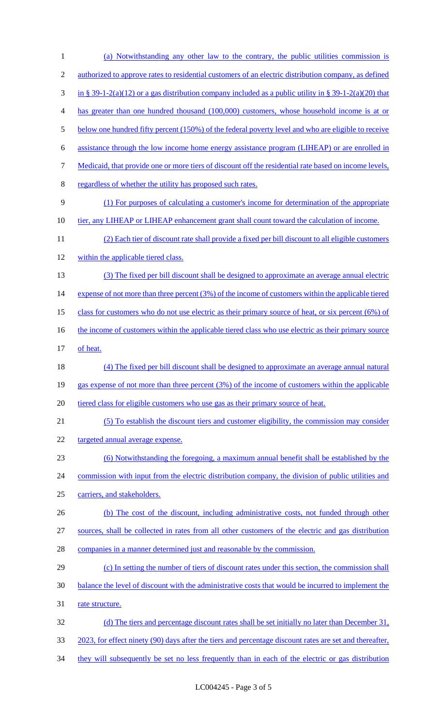| 1              | (a) Notwithstanding any other law to the contrary, the public utilities commission is                       |
|----------------|-------------------------------------------------------------------------------------------------------------|
| $\mathfrak{2}$ | <u>authorized to approve rates to residential customers of an electric distribution company, as defined</u> |
| 3              | in § 39-1-2(a)(12) or a gas distribution company included as a public utility in § 39-1-2(a)(20) that       |
| 4              | has greater than one hundred thousand (100,000) customers, whose household income is at or                  |
| 5              | below one hundred fifty percent (150%) of the federal poverty level and who are eligible to receive         |
| 6              | assistance through the low income home energy assistance program (LIHEAP) or are enrolled in                |
| 7              | Medicaid, that provide one or more tiers of discount off the residential rate based on income levels,       |
| 8              | regardless of whether the utility has proposed such rates.                                                  |
| 9              | (1) For purposes of calculating a customer's income for determination of the appropriate                    |
| 10             | tier, any LIHEAP or LIHEAP enhancement grant shall count toward the calculation of income.                  |
| 11             | (2) Each tier of discount rate shall provide a fixed per bill discount to all eligible customers            |
| 12             | within the applicable tiered class.                                                                         |
| 13             | (3) The fixed per bill discount shall be designed to approximate an average annual electric                 |
| 14             | expense of not more than three percent (3%) of the income of customers within the applicable tiered         |
| 15             | class for customers who do not use electric as their primary source of heat, or six percent (6%) of         |
| 16             | the income of customers within the applicable tiered class who use electric as their primary source         |
| 17             | of heat.                                                                                                    |
| 18             | (4) The fixed per bill discount shall be designed to approximate an average annual natural                  |
| 19             | gas expense of not more than three percent (3%) of the income of customers within the applicable            |
| 20             | tiered class for eligible customers who use gas as their primary source of heat.                            |
| 21             | (5) To establish the discount tiers and customer eligibility, the commission may consider                   |
| 22             | targeted annual average expense.                                                                            |
| 23             | (6) Notwithstanding the foregoing, a maximum annual benefit shall be established by the                     |
| 24             | commission with input from the electric distribution company, the division of public utilities and          |
| 25             | carriers, and stakeholders.                                                                                 |
| 26             | (b) The cost of the discount, including administrative costs, not funded through other                      |
| 27             | sources, shall be collected in rates from all other customers of the electric and gas distribution          |
| 28             | companies in a manner determined just and reasonable by the commission.                                     |
| 29             | (c) In setting the number of tiers of discount rates under this section, the commission shall               |
| 30             | balance the level of discount with the administrative costs that would be incurred to implement the         |
| 31             | rate structure.                                                                                             |
| 32             | (d) The tiers and percentage discount rates shall be set initially no later than December 31,               |
| 33             | 2023, for effect ninety (90) days after the tiers and percentage discount rates are set and thereafter,     |
| 34             | they will subsequently be set no less frequently than in each of the electric or gas distribution           |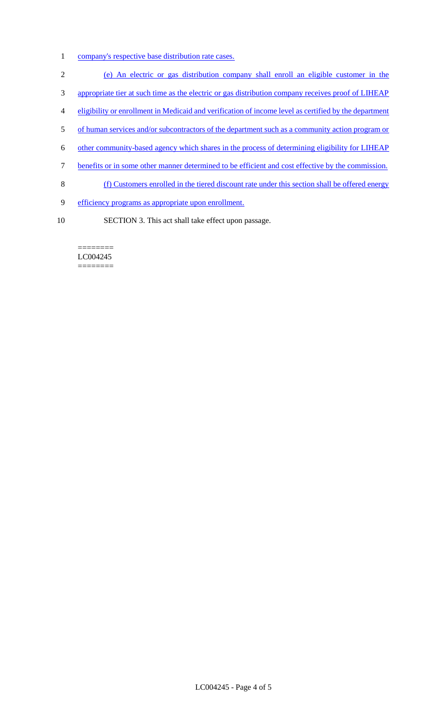- 1 company's respective base distribution rate cases.
- 2 (e) An electric or gas distribution company shall enroll an eligible customer in the
- 3 appropriate tier at such time as the electric or gas distribution company receives proof of LIHEAP
- 4 eligibility or enrollment in Medicaid and verification of income level as certified by the department
- 5 of human services and/or subcontractors of the department such as a community action program or
- 6 other community-based agency which shares in the process of determining eligibility for LIHEAP
- 7 benefits or in some other manner determined to be efficient and cost effective by the commission.
- 8 (f) Customers enrolled in the tiered discount rate under this section shall be offered energy
- 9 efficiency programs as appropriate upon enrollment.
- 10 SECTION 3. This act shall take effect upon passage.

======== LC004245 ========